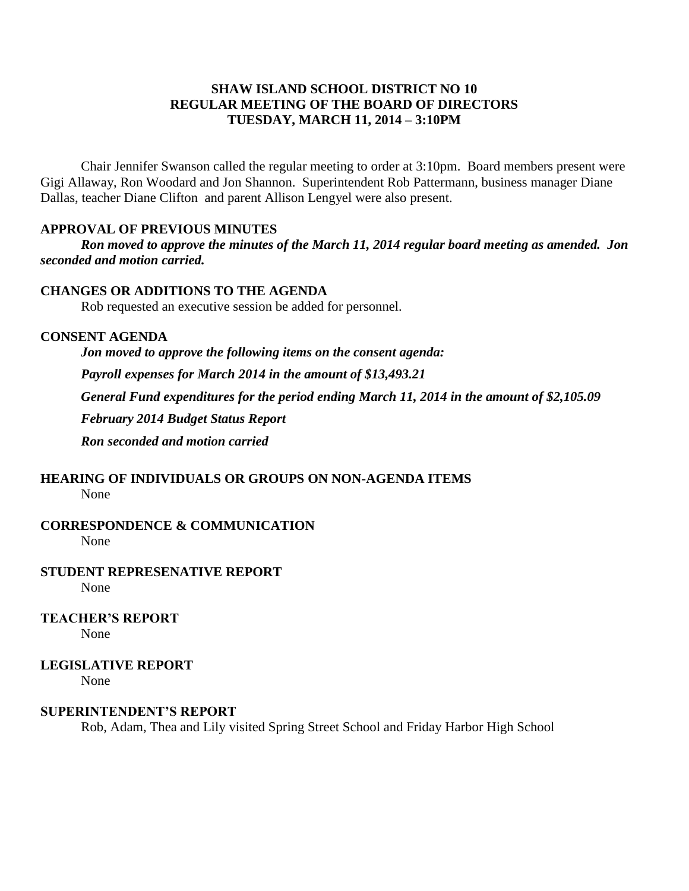## **SHAW ISLAND SCHOOL DISTRICT NO 10 REGULAR MEETING OF THE BOARD OF DIRECTORS TUESDAY, MARCH 11, 2014 – 3:10PM**

Chair Jennifer Swanson called the regular meeting to order at 3:10pm. Board members present were Gigi Allaway, Ron Woodard and Jon Shannon. Superintendent Rob Pattermann, business manager Diane Dallas, teacher Diane Clifton and parent Allison Lengyel were also present.

#### **APPROVAL OF PREVIOUS MINUTES**

*Ron moved to approve the minutes of the March 11, 2014 regular board meeting as amended. Jon seconded and motion carried.*

## **CHANGES OR ADDITIONS TO THE AGENDA**

Rob requested an executive session be added for personnel.

#### **CONSENT AGENDA**

*Jon moved to approve the following items on the consent agenda: Payroll expenses for March 2014 in the amount of \$13,493.21 General Fund expenditures for the period ending March 11, 2014 in the amount of \$2,105.09 February 2014 Budget Status Report Ron seconded and motion carried*

# **HEARING OF INDIVIDUALS OR GROUPS ON NON-AGENDA ITEMS**

None

## **CORRESPONDENCE & COMMUNICATION**

None

#### **STUDENT REPRESENATIVE REPORT**

None

**TEACHER'S REPORT**

None

## **LEGISLATIVE REPORT**

None

#### **SUPERINTENDENT'S REPORT**

Rob, Adam, Thea and Lily visited Spring Street School and Friday Harbor High School